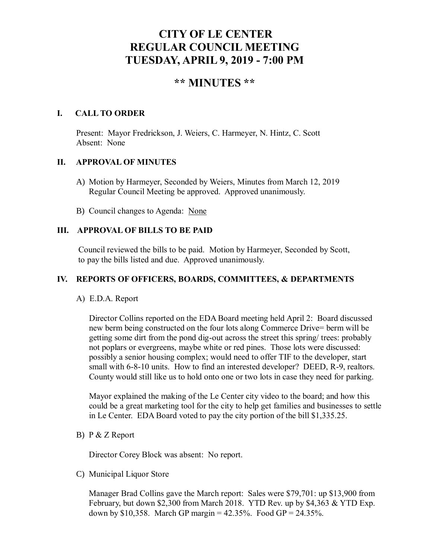# **CITY OF LE CENTER REGULAR COUNCIL MEETING TUESDAY, APRIL 9, 2019 - 7:00 PM**

## **\*\* MINUTES \*\***

### **I. CALL TO ORDER**

Present: Mayor Fredrickson, J. Weiers, C. Harmeyer, N. Hintz, C. Scott Absent: None

#### **II. APPROVAL OF MINUTES**

- A) Motion by Harmeyer, Seconded by Weiers, Minutes from March 12, 2019 Regular Council Meeting be approved. Approved unanimously.
- B) Council changes to Agenda: None

## **III. APPROVAL OF BILLS TO BE PAID**

Council reviewed the bills to be paid. Motion by Harmeyer, Seconded by Scott, to pay the bills listed and due. Approved unanimously.

## **IV. REPORTS OF OFFICERS, BOARDS, COMMITTEES, & DEPARTMENTS**

#### A) E.D.A. Report

 Director Collins reported on the EDA Board meeting held April 2: Board discussed new berm being constructed on the four lots along Commerce Drive= berm will be getting some dirt from the pond dig-out across the street this spring/ trees: probably not poplars or evergreens, maybe white or red pines. Those lots were discussed: possibly a senior housing complex; would need to offer TIF to the developer, start small with 6-8-10 units. How to find an interested developer? DEED, R-9, realtors. County would still like us to hold onto one or two lots in case they need for parking.

 Mayor explained the making of the Le Center city video to the board; and how this could be a great marketing tool for the city to help get families and businesses to settle in Le Center. EDA Board voted to pay the city portion of the bill \$1,335.25.

## B) P & Z Report

Director Corey Block was absent: No report.

C) Municipal Liquor Store

Manager Brad Collins gave the March report: Sales were \$79,701: up \$13,900 from February, but down \$2,300 from March 2018. YTD Rev. up by \$4,363 & YTD Exp. down by \$10,358. March GP margin =  $42.35\%$ . Food GP =  $24.35\%$ .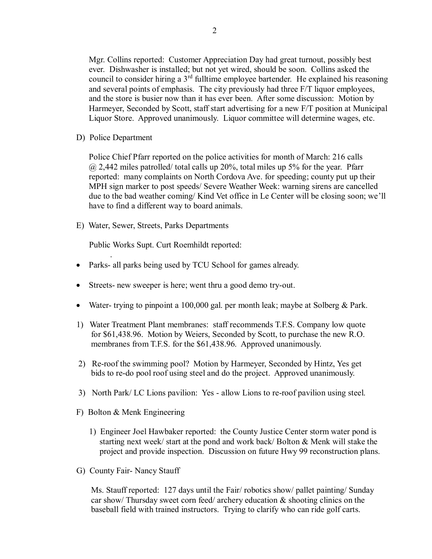Mgr. Collins reported: Customer Appreciation Day had great turnout, possibly best ever. Dishwasher is installed; but not yet wired, should be soon. Collins asked the council to consider hiring a  $3<sup>rd</sup>$  fulltime employee bartender. He explained his reasoning and several points of emphasis. The city previously had three F/T liquor employees, and the store is busier now than it has ever been. After some discussion: Motion by Harmeyer, Seconded by Scott, staff start advertising for a new F/T position at Municipal Liquor Store. Approved unanimously. Liquor committee will determine wages, etc.

D) Police Department

.

Police Chief Pfarr reported on the police activities for month of March: 216 calls  $\omega$  2,442 miles patrolled/ total calls up 20%, total miles up 5% for the year. Pfarr reported: many complaints on North Cordova Ave. for speeding; county put up their MPH sign marker to post speeds/ Severe Weather Week: warning sirens are cancelled due to the bad weather coming/ Kind Vet office in Le Center will be closing soon; we'll have to find a different way to board animals.

E) Water, Sewer, Streets, Parks Departments

Public Works Supt. Curt Roemhildt reported:

- Parks- all parks being used by TCU School for games already.
- Streets- new sweeper is here; went thru a good demo try-out.
- Water- trying to pinpoint a 100,000 gal. per month leak; maybe at Solberg & Park.
- 1) Water Treatment Plant membranes: staff recommends T.F.S. Company low quote for \$61,438.96. Motion by Weiers, Seconded by Scott, to purchase the new R.O. membranes from T.F.S. for the \$61,438.96. Approved unanimously.
- 2) Re-roof the swimming pool? Motion by Harmeyer, Seconded by Hintz, Yes get bids to re-do pool roof using steel and do the project. Approved unanimously.
- 3) North Park/ LC Lions pavilion: Yes allow Lions to re-roof pavilion using steel.
- F) Bolton & Menk Engineering
	- 1) Engineer Joel Hawbaker reported: the County Justice Center storm water pond is starting next week/ start at the pond and work back/ Bolton & Menk will stake the project and provide inspection. Discussion on future Hwy 99 reconstruction plans.
- G) County Fair- Nancy Stauff

 Ms. Stauff reported: 127 days until the Fair/ robotics show/ pallet painting/ Sunday car show/ Thursday sweet corn feed/ archery education & shooting clinics on the baseball field with trained instructors. Trying to clarify who can ride golf carts.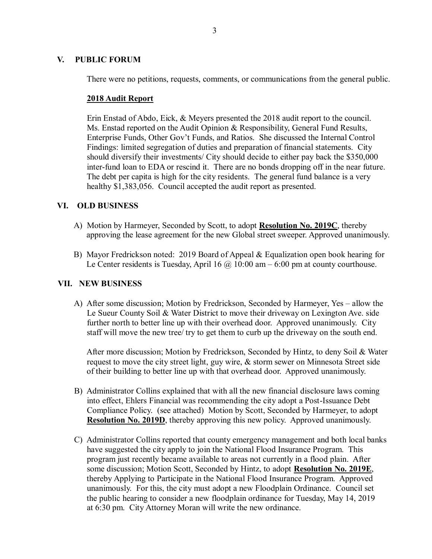## **V. PUBLIC FORUM**

There were no petitions, requests, comments, or communications from the general public.

#### **2018 Audit Report**

 Erin Enstad of Abdo, Eick, & Meyers presented the 2018 audit report to the council. Ms. Enstad reported on the Audit Opinion & Responsibility, General Fund Results, Enterprise Funds, Other Gov't Funds, and Ratios. She discussed the Internal Control Findings: limited segregation of duties and preparation of financial statements. City should diversify their investments/ City should decide to either pay back the \$350,000 inter-fund loan to EDA or rescind it. There are no bonds dropping off in the near future. The debt per capita is high for the city residents. The general fund balance is a very healthy \$1,383,056. Council accepted the audit report as presented.

## **VI. OLD BUSINESS**

- A) Motion by Harmeyer, Seconded by Scott, to adopt **Resolution No. 2019C**, thereby approving the lease agreement for the new Global street sweeper. Approved unanimously.
- B) Mayor Fredrickson noted: 2019 Board of Appeal & Equalization open book hearing for Le Center residents is Tuesday, April 16  $\omega$  10:00 am – 6:00 pm at county courthouse.

#### **VII. NEW BUSINESS**

 A) After some discussion; Motion by Fredrickson, Seconded by Harmeyer, Yes – allow the Le Sueur County Soil & Water District to move their driveway on Lexington Ave. side further north to better line up with their overhead door. Approved unanimously. City staff will move the new tree/ try to get them to curb up the driveway on the south end.

 After more discussion; Motion by Fredrickson, Seconded by Hintz, to deny Soil & Water request to move the city street light, guy wire, & storm sewer on Minnesota Street side of their building to better line up with that overhead door. Approved unanimously.

- B) Administrator Collins explained that with all the new financial disclosure laws coming into effect, Ehlers Financial was recommending the city adopt a Post-Issuance Debt Compliance Policy. (see attached) Motion by Scott, Seconded by Harmeyer, to adopt **Resolution No. 2019D**, thereby approving this new policy. Approved unanimously.
- C) Administrator Collins reported that county emergency management and both local banks have suggested the city apply to join the National Flood Insurance Program. This program just recently became available to areas not currently in a flood plain. After some discussion; Motion Scott, Seconded by Hintz, to adopt **Resolution No. 2019E**, thereby Applying to Participate in the National Flood Insurance Program. Approved unanimously. For this, the city must adopt a new Floodplain Ordinance. Council set the public hearing to consider a new floodplain ordinance for Tuesday, May 14, 2019 at 6:30 pm. City Attorney Moran will write the new ordinance.